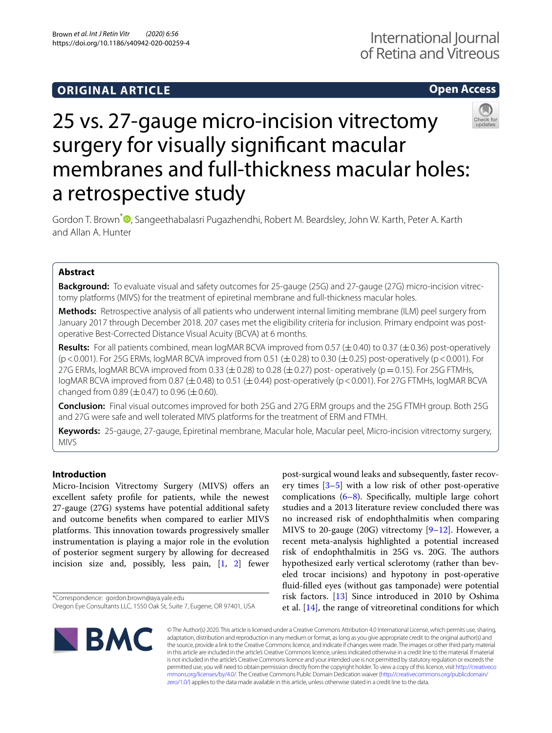# **ORIGINAL ARTICLE**

# **Open Access**



# 25 vs. 27-gauge micro-incision vitrectomy surgery for visually signifcant macular membranes and full-thickness macular holes: a retrospective study

Gordon T. Brown<sup>\*</sup><sup>®</sup>[,](http://orcid.org/0000-0001-8006-5020) Sangeethabalasri Pugazhendhi, Robert M. Beardsley, John W. Karth, Peter A. Karth and Allan A. Hunter

# **Abstract**

**Background:** To evaluate visual and safety outcomes for 25-gauge (25G) and 27-gauge (27G) micro-incision vitrectomy platforms (MIVS) for the treatment of epiretinal membrane and full-thickness macular holes.

**Methods:** Retrospective analysis of all patients who underwent internal limiting membrane (ILM) peel surgery from January 2017 through December 2018. 207 cases met the eligibility criteria for inclusion. Primary endpoint was postoperative Best-Corrected Distance Visual Acuity (BCVA) at 6 months.

**Results:** For all patients combined, mean logMAR BCVA improved from 0.57  $(\pm 0.40)$  to 0.37  $(\pm 0.36)$  post-operatively  $(p < 0.001)$ . For 25G ERMs, logMAR BCVA improved from 0.51 ( $\pm$  0.28) to 0.30 ( $\pm$  0.25) post-operatively (p < 0.001). For 27G ERMs, logMAR BCVA improved from 0.33  $(\pm 0.28)$  to 0.28  $(\pm 0.27)$  post- operatively (p=0.15). For 25G FTMHs, logMAR BCVA improved from 0.87 ( $\pm$  0.48) to 0.51 ( $\pm$  0.44) post-operatively (p < 0.001). For 27G FTMHs, logMAR BCVA changed from 0.89 ( $\pm$  0.47) to 0.96 ( $\pm$  0.60).

**Conclusion:** Final visual outcomes improved for both 25G and 27G ERM groups and the 25G FTMH group. Both 25G and 27G were safe and well tolerated MIVS platforms for the treatment of ERM and FTMH.

**Keywords:** 25-gauge, 27-gauge, Epiretinal membrane, Macular hole, Macular peel, Micro-incision vitrectomy surgery, MIVS

# **Introduction**

Micro-Incision Vitrectomy Surgery (MIVS) offers an excellent safety profle for patients, while the newest 27-gauge (27G) systems have potential additional safety and outcome benefts when compared to earlier MIVS platforms. This innovation towards progressively smaller instrumentation is playing a major role in the evolution of posterior segment surgery by allowing for decreased incision size and, possibly, less pain, [\[1](#page-4-0), [2](#page-4-1)] fewer

post-surgical wound leaks and subsequently, faster recovery times  $[3-5]$  $[3-5]$  $[3-5]$  with a low risk of other post-operative complications ([6–](#page-4-4)[8\)](#page-4-5). Specifcally, multiple large cohort studies and a 2013 literature review concluded there was no increased risk of endophthalmitis when comparing MIVS to 20-gauge (20G) vitrectomy [[9](#page-4-6)[–12](#page-4-7)]. However, a recent meta-analysis highlighted a potential increased risk of endophthalmitis in 25G vs. 20G. The authors hypothesized early vertical sclerotomy (rather than beveled trocar incisions) and hypotony in post-operative fuid-flled eyes (without gas tamponade) were potential risk factors. [\[13](#page-4-8)] Since introduced in 2010 by Oshima et al. [\[14](#page-4-9)], the range of vitreoretinal conditions for which



© The Author(s) 2020. This article is licensed under a Creative Commons Attribution 4.0 International License, which permits use, sharing, adaptation, distribution and reproduction in any medium or format, as long as you give appropriate credit to the original author(s) and the source, provide a link to the Creative Commons licence, and indicate if changes were made. The images or other third party material in this article are included in the article's Creative Commons licence, unless indicated otherwise in a credit line to the material. If material is not included in the article's Creative Commons licence and your intended use is not permitted by statutory regulation or exceeds the permitted use, you will need to obtain permission directly from the copyright holder. To view a copy of this licence, visit [http://creativeco](http://creativecommons.org/licenses/by/4.0/) [mmons.org/licenses/by/4.0/.](http://creativecommons.org/licenses/by/4.0/) The Creative Commons Public Domain Dedication waiver ([http://creativecommons.org/publicdomain/](http://creativecommons.org/publicdomain/zero/1.0/) [zero/1.0/\)](http://creativecommons.org/publicdomain/zero/1.0/) applies to the data made available in this article, unless otherwise stated in a credit line to the data.

<sup>\*</sup>Correspondence: gordon.brown@aya.yale.edu

Oregon Eye Consultants LLC, 1550 Oak St, Suite 7, Eugene, OR 97401, USA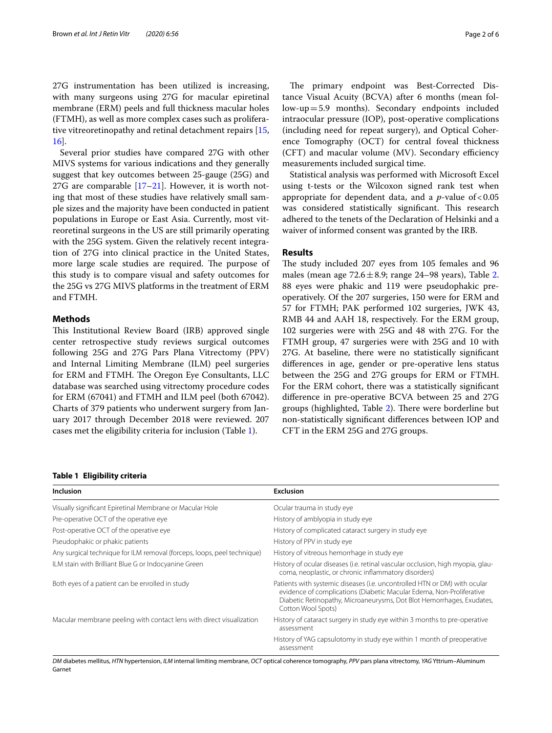27G instrumentation has been utilized is increasing, with many surgeons using 27G for macular epiretinal membrane (ERM) peels and full thickness macular holes (FTMH), as well as more complex cases such as proliferative vitreoretinopathy and retinal detachment repairs [\[15](#page-4-10), [16\]](#page-4-11).

Several prior studies have compared 27G with other MIVS systems for various indications and they generally suggest that key outcomes between 25-gauge (25G) and 27G are comparable [\[17](#page-4-12)[–21](#page-4-13)]. However, it is worth noting that most of these studies have relatively small sample sizes and the majority have been conducted in patient populations in Europe or East Asia. Currently, most vitreoretinal surgeons in the US are still primarily operating with the 25G system. Given the relatively recent integration of 27G into clinical practice in the United States, more large scale studies are required. The purpose of this study is to compare visual and safety outcomes for the 25G vs 27G MIVS platforms in the treatment of ERM and FTMH.

# **Methods**

This Institutional Review Board (IRB) approved single center retrospective study reviews surgical outcomes following 25G and 27G Pars Plana Vitrectomy (PPV) and Internal Limiting Membrane (ILM) peel surgeries for ERM and FTMH. The Oregon Eye Consultants, LLC database was searched using vitrectomy procedure codes for ERM (67041) and FTMH and ILM peel (both 67042). Charts of 379 patients who underwent surgery from January 2017 through December 2018 were reviewed. 207 cases met the eligibility criteria for inclusion (Table [1](#page-1-0)).

The primary endpoint was Best-Corrected Distance Visual Acuity (BCVA) after 6 months (mean follow-up=5.9 months). Secondary endpoints included intraocular pressure (IOP), post-operative complications (including need for repeat surgery), and Optical Coherence Tomography (OCT) for central foveal thickness (CFT) and macular volume (MV). Secondary efficiency measurements included surgical time.

Statistical analysis was performed with Microsoft Excel using t-tests or the Wilcoxon signed rank test when appropriate for dependent data, and a  $p$ -value of < 0.05 was considered statistically significant. This research adhered to the tenets of the Declaration of Helsinki and a waiver of informed consent was granted by the IRB.

# **Results**

The study included 207 eyes from 105 females and 96 males (mean age  $72.6 \pm 8.9$  $72.6 \pm 8.9$  $72.6 \pm 8.9$ ; range 24–98 years), Table 2. 88 eyes were phakic and 119 were pseudophakic preoperatively. Of the 207 surgeries, 150 were for ERM and 57 for FTMH; PAK performed 102 surgeries, JWK 43, RMB 44 and AAH 18, respectively. For the ERM group, 102 surgeries were with 25G and 48 with 27G. For the FTMH group, 47 surgeries were with 25G and 10 with 27G. At baseline, there were no statistically signifcant diferences in age, gender or pre-operative lens status between the 25G and 27G groups for ERM or FTMH. For the ERM cohort, there was a statistically signifcant diference in pre-operative BCVA between 25 and 27G groups (highlighted, Table [2](#page-2-0)). There were borderline but non-statistically signifcant diferences between IOP and CFT in the ERM 25G and 27G groups.

## <span id="page-1-0"></span>**Table 1 Eligibility criteria**

| <b>Inclusion</b>                                                        | <b>Exclusion</b>                                                                                                                                                                                                                                 |
|-------------------------------------------------------------------------|--------------------------------------------------------------------------------------------------------------------------------------------------------------------------------------------------------------------------------------------------|
| Visually significant Epiretinal Membrane or Macular Hole                | Ocular trauma in study eye                                                                                                                                                                                                                       |
| Pre-operative OCT of the operative eye                                  | History of amblyopia in study eye                                                                                                                                                                                                                |
| Post-operative OCT of the operative eye                                 | History of complicated cataract surgery in study eye                                                                                                                                                                                             |
| Pseudophakic or phakic patients                                         | History of PPV in study eye                                                                                                                                                                                                                      |
| Any surgical technique for ILM removal (forceps, loops, peel technique) | History of vitreous hemorrhage in study eye                                                                                                                                                                                                      |
| ILM stain with Brilliant Blue G or Indocyanine Green                    | History of ocular diseases (i.e. retinal vascular occlusion, high myopia, glau-<br>coma, neoplastic, or chronic inflammatory disorders)                                                                                                          |
| Both eyes of a patient can be enrolled in study                         | Patients with systemic diseases (i.e. uncontrolled HTN or DM) with ocular<br>evidence of complications (Diabetic Macular Edema, Non-Proliferative<br>Diabetic Retinopathy, Microaneurysms, Dot Blot Hemorrhages, Exudates,<br>Cotton Wool Spots) |
| Macular membrane peeling with contact lens with direct visualization    | History of cataract surgery in study eye within 3 months to pre-operative<br>assessment                                                                                                                                                          |
|                                                                         | History of YAG capsulotomy in study eye within 1 month of preoperative<br>assessment                                                                                                                                                             |

*DM* diabetes mellitus, *HTN* hypertension, *ILM* internal limiting membrane, *OCT* optical coherence tomography, *PPV* pars plana vitrectomy, *YAG* Yttrium–Aluminum Garnet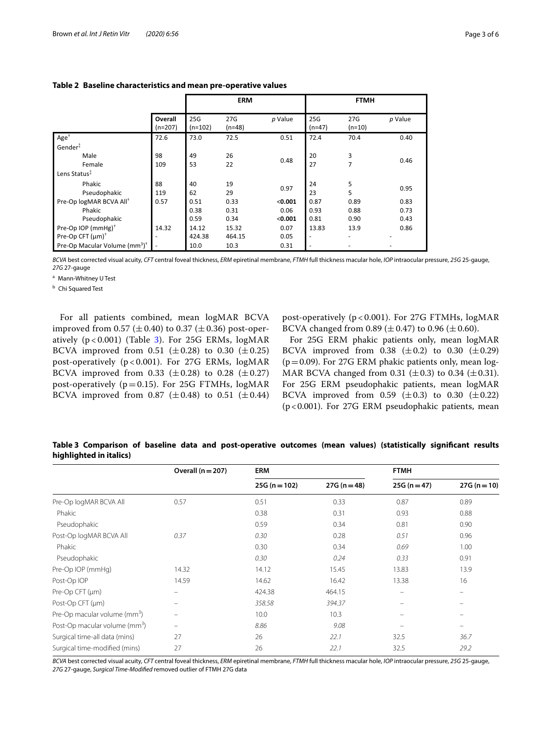|                                                       |                          | <b>ERM</b>       |                 |         | <b>FTMH</b>     |                 |         |
|-------------------------------------------------------|--------------------------|------------------|-----------------|---------|-----------------|-----------------|---------|
|                                                       | Overall<br>$(n=207)$     | 25G<br>$(n=102)$ | 27G<br>$(n=48)$ | p Value | 25G<br>$(n=47)$ | 27G<br>$(n=10)$ | p Value |
| Age <sup>†</sup>                                      | 72.6                     | 73.0             | 72.5            | 0.51    | 72.4            | 70.4            | 0.40    |
| Gender <sup>‡</sup>                                   |                          |                  |                 |         |                 |                 |         |
| Male                                                  | 98                       | 49               | 26              | 0.48    | 20              | 3               | 0.46    |
| Female                                                | 109                      | 53               | 22              |         | 27              | 7               |         |
| Lens Status $\frac{1}{4}$                             |                          |                  |                 |         |                 |                 |         |
| Phakic                                                | 88                       | 40               | 19              |         | 24              | 5               | 0.95    |
| Pseudophakic                                          | 119                      | 62               | 29              | 0.97    | 23              | 5               |         |
| Pre-Op logMAR BCVA All <sup>+</sup>                   | 0.57                     | 0.51             | 0.33            | < 0.001 | 0.87            | 0.89            | 0.83    |
| Phakic                                                |                          | 0.38             | 0.31            | 0.06    | 0.93            | 0.88            | 0.73    |
| Pseudophakic                                          |                          | 0.59             | 0.34            | < 0.001 | 0.81            | 0.90            | 0.43    |
| Pre-Op IOP $(mmHg)^{\dagger}$                         | 14.32                    | 14.12            | 15.32           | 0.07    | 13.83           | 13.9            | 0.86    |
| Pre-Op CFT $(\mu m)^{\dagger}$                        | $\sim$                   | 424.38           | 464.15          | 0.05    |                 | ۰               |         |
| Pre-Op Macular Volume (mm <sup>3</sup> ) <sup>†</sup> | $\overline{\phantom{a}}$ | 10.0             | 10.3            | 0.31    |                 |                 |         |

# <span id="page-2-0"></span>**Table 2 Baseline characteristics and mean pre-operative values**

*BCVA* best corrected visual acuity, *CFT* central foveal thickness, *ERM* epiretinal membrane, *FTMH* full thickness macular hole, *IOP* intraocular pressure, *25G* 25-gauge, *27G* 27-gauge

a Mann-Whitney U Test

**b** Chi Squared Test

For all patients combined, mean logMAR BCVA improved from 0.57 ( $\pm$  0.40) to 0.37 ( $\pm$  0.36) post-operatively  $(p < 0.001)$  (Table [3\)](#page-2-1). For 25G ERMs,  $logMAR$ BCVA improved from 0.51 ( $\pm$ 0.28) to 0.30 ( $\pm$ 0.25) post-operatively  $(p < 0.001)$ . For 27G ERMs, logMAR BCVA improved from 0.33 ( $\pm$ 0.28) to 0.28 ( $\pm$ 0.27) post-operatively ( $p=0.15$ ). For 25G FTMHs, logMAR BCVA improved from 0.87 ( $\pm$ 0.48) to 0.51 ( $\pm$ 0.44)

post-operatively (p < 0.001). For 27G FTMHs, logMAR BCVA changed from 0.89 ( $\pm$  0.47) to 0.96 ( $\pm$  0.60).

For 25G ERM phakic patients only, mean logMAR BCVA improved from 0.38  $(\pm 0.2)$  to 0.30  $(\pm 0.29)$  $(p=0.09)$ . For 27G ERM phakic patients only, mean log-MAR BCVA changed from 0.31 ( $\pm$ 0.3) to 0.34 ( $\pm$ 0.31). For 25G ERM pseudophakic patients, mean logMAR BCVA improved from 0.59  $(\pm 0.3)$  to 0.30  $(\pm 0.22)$ (p<0.001). For 27G ERM pseudophakic patients, mean

<span id="page-2-1"></span>**Table 3 Comparison of baseline data and post-operative outcomes (mean values) (statistically signifcant results highlighted in italics)**

|                                           | Overall ( $n = 207$ ) | <b>ERM</b>      |                | <b>FTMH</b>              |                          |  |
|-------------------------------------------|-----------------------|-----------------|----------------|--------------------------|--------------------------|--|
|                                           |                       | $25G (n = 102)$ | $27G (n = 48)$ | $25G(n=47)$              | $27G (n = 10)$           |  |
| Pre-Op logMAR BCVA All                    | 0.57                  | 0.51            | 0.33           | 0.87                     | 0.89                     |  |
| Phakic                                    |                       | 0.38            | 0.31           | 0.93                     | 0.88                     |  |
| Pseudophakic                              |                       | 0.59            | 0.34           | 0.81                     | 0.90                     |  |
| Post-Op logMAR BCVA All                   | 0.37                  | 0.30            | 0.28           | 0.51                     | 0.96                     |  |
| Phakic                                    |                       | 0.30            | 0.34           | 0.69                     | 1.00                     |  |
| Pseudophakic                              |                       | 0.30            | 0.24           | 0.33                     | 0.91                     |  |
| Pre-Op IOP (mmHg)                         | 14.32                 | 14.12           | 15.45          | 13.83                    | 13.9                     |  |
| Post-Op IOP                               | 14.59                 | 14.62           | 16.42          | 13.38                    | 16                       |  |
| Pre-Op CFT (µm)                           |                       | 424.38          | 464.15         | $\equiv$                 | $\overline{\phantom{0}}$ |  |
| Post-Op CFT (um)                          |                       | 358.58          | 394.37         |                          |                          |  |
| Pre-Op macular volume (mm <sup>3</sup> )  | -                     | 10.0            | 10.3           | $\overline{\phantom{m}}$ | $\overline{\phantom{0}}$ |  |
| Post-Op macular volume (mm <sup>3</sup> ) | -                     | 8.86            | 9.08           |                          | -                        |  |
| Surgical time-all data (mins)             | 27                    | 26              | 22.1           | 32.5                     | 36.7                     |  |
| Surgical time-modified (mins)             | 27                    | 26              | 22.1           | 32.5                     | 29.2                     |  |

*BCVA* best corrected visual acuity, *CFT* central foveal thickness, *ERM* epiretinal membrane, *FTMH* full thickness macular hole, *IOP* intraocular pressure, *25G* 25-gauge, *27G* 27-gauge, *Surgical Time-Modifed* removed outlier of FTMH 27G data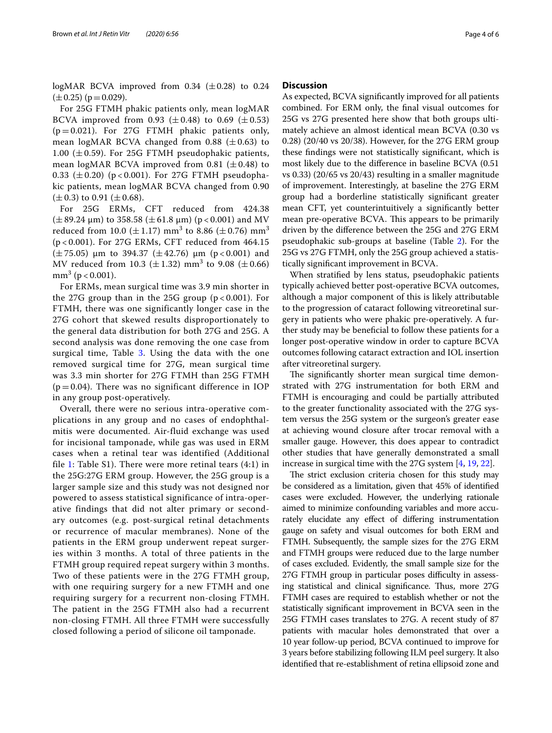logMAR BCVA improved from 0.34  $(\pm 0.28)$  to 0.24  $(\pm 0.25)$  (p = 0.029).

For 25G FTMH phakic patients only, mean logMAR BCVA improved from 0.93 ( $\pm$  0.48) to 0.69 ( $\pm$  0.53)  $(p = 0.021)$ . For 27G FTMH phakic patients only, mean logMAR BCVA changed from 0.88  $(\pm 0.63)$  to 1.00  $(\pm 0.59)$ . For 25G FTMH pseudophakic patients, mean logMAR BCVA improved from 0.81 ( $\pm$  0.48) to 0.33  $(\pm 0.20)$  (p < 0.001). For 27G FTMH pseudophakic patients, mean logMAR BCVA changed from 0.90  $(\pm 0.3)$  to 0.91 ( $\pm 0.68$ ).

For 25G ERMs, CFT reduced from 424.38  $(± 89.24 \mu m)$  to 358.58  $(± 61.8 \mu m)$  (p < 0.001) and MV reduced from 10.0 ( $\pm$ 1.17) mm<sup>3</sup> to 8.86 ( $\pm$ 0.76) mm<sup>3</sup> (p < 0.001). For 27G ERMs, CFT reduced from 464.15  $(± 75.05)$  μm to 394.37  $(± 42.76)$  μm (p < 0.001) and MV reduced from 10.3 ( $\pm$ 1.32) mm<sup>3</sup> to 9.08 ( $\pm$ 0.66)  $mm^3$  (p < 0.001).

For ERMs, mean surgical time was 3.9 min shorter in the 27G group than in the 25G group ( $p < 0.001$ ). For FTMH, there was one significantly longer case in the 27G cohort that skewed results disproportionately to the general data distribution for both 27G and 25G. A second analysis was done removing the one case from surgical time, Table  $3$ . Using the data with the one removed surgical time for 27G, mean surgical time was 3.3 min shorter for 27G FTMH than 25G FTMH  $(p = 0.04)$ . There was no significant difference in IOP in any group post-operatively.

Overall, there were no serious intra-operative complications in any group and no cases of endophthalmitis were documented. Air-fluid exchange was used for incisional tamponade, while gas was used in ERM cases when a retinal tear was identified (Additional file [1](#page-4-14): Table S1). There were more retinal tears (4:1) in the 25G:27G ERM group. However, the 25G group is a larger sample size and this study was not designed nor powered to assess statistical significance of intra-operative findings that did not alter primary or secondary outcomes (e.g. post-surgical retinal detachments or recurrence of macular membranes). None of the patients in the ERM group underwent repeat surgeries within 3 months. A total of three patients in the FTMH group required repeat surgery within 3 months. Two of these patients were in the 27G FTMH group, with one requiring surgery for a new FTMH and one requiring surgery for a recurrent non-closing FTMH. The patient in the 25G FTMH also had a recurrent non-closing FTMH. All three FTMH were successfully closed following a period of silicone oil tamponade.

# **Discussion**

As expected, BCVA signifcantly improved for all patients combined. For ERM only, the fnal visual outcomes for 25G vs 27G presented here show that both groups ultimately achieve an almost identical mean BCVA (0.30 vs 0.28) (20/40 vs 20/38). However, for the 27G ERM group these fndings were not statistically signifcant, which is most likely due to the diference in baseline BCVA (0.51 vs 0.33) (20/65 vs 20/43) resulting in a smaller magnitude of improvement. Interestingly, at baseline the 27G ERM group had a borderline statistically signifcant greater mean CFT, yet counterintuitively a signifcantly better mean pre-operative BCVA. This appears to be primarily driven by the diference between the 25G and 27G ERM pseudophakic sub-groups at baseline (Table [2](#page-2-0)). For the 25G vs 27G FTMH, only the 25G group achieved a statistically signifcant improvement in BCVA.

When stratifed by lens status, pseudophakic patients typically achieved better post-operative BCVA outcomes, although a major component of this is likely attributable to the progression of cataract following vitreoretinal surgery in patients who were phakic pre-operatively. A further study may be benefcial to follow these patients for a longer post-operative window in order to capture BCVA outcomes following cataract extraction and IOL insertion after vitreoretinal surgery.

The significantly shorter mean surgical time demonstrated with 27G instrumentation for both ERM and FTMH is encouraging and could be partially attributed to the greater functionality associated with the 27G system versus the 25G system or the surgeon's greater ease at achieving wound closure after trocar removal with a smaller gauge. However, this does appear to contradict other studies that have generally demonstrated a small increase in surgical time with the 27G system [[4,](#page-4-15) [19](#page-4-16), [22\]](#page-5-0).

The strict exclusion criteria chosen for this study may be considered as a limitation, given that 45% of identifed cases were excluded. However, the underlying rationale aimed to minimize confounding variables and more accurately elucidate any efect of difering instrumentation gauge on safety and visual outcomes for both ERM and FTMH. Subsequently, the sample sizes for the 27G ERM and FTMH groups were reduced due to the large number of cases excluded. Evidently, the small sample size for the 27G FTMH group in particular poses difficulty in assessing statistical and clinical significance. Thus, more 27G FTMH cases are required to establish whether or not the statistically signifcant improvement in BCVA seen in the 25G FTMH cases translates to 27G. A recent study of 87 patients with macular holes demonstrated that over a 10 year follow-up period, BCVA continued to improve for 3 years before stabilizing following ILM peel surgery. It also identifed that re-establishment of retina ellipsoid zone and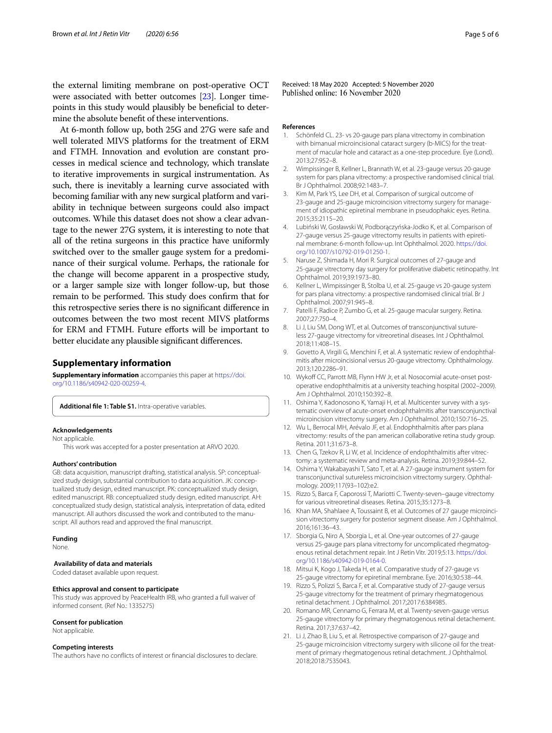the external limiting membrane on post-operative OCT were associated with better outcomes [\[23\]](#page-5-1). Longer timepoints in this study would plausibly be beneficial to determine the absolute beneft of these interventions.

At 6-month follow up, both 25G and 27G were safe and well tolerated MIVS platforms for the treatment of ERM and FTMH. Innovation and evolution are constant processes in medical science and technology, which translate to iterative improvements in surgical instrumentation. As such, there is inevitably a learning curve associated with becoming familiar with any new surgical platform and variability in technique between surgeons could also impact outcomes. While this dataset does not show a clear advantage to the newer 27G system, it is interesting to note that all of the retina surgeons in this practice have uniformly switched over to the smaller gauge system for a predominance of their surgical volume. Perhaps, the rationale for the change will become apparent in a prospective study, or a larger sample size with longer follow-up, but those remain to be performed. This study does confirm that for this retrospective series there is no signifcant diference in outcomes between the two most recent MIVS platforms for ERM and FTMH. Future efforts will be important to better elucidate any plausible signifcant diferences.

# **Supplementary information**

**Supplementary information** accompanies this paper at [https://doi.](https://doi.org/10.1186/s40942-020-00259-4) [org/10.1186/s40942-020-00259-4](https://doi.org/10.1186/s40942-020-00259-4).

<span id="page-4-14"></span>**Additional fle 1: Table S1.** Intra-operative variables.

## **Acknowledgements**

Not applicable.

This work was accepted for a poster presentation at ARVO 2020.

#### **Authors' contribution**

GB: data acquisition, manuscript drafting, statistical analysis. SP: conceptualized study design, substantial contribution to data acquisition. JK: conceptualized study design, edited manuscript. PK: conceptualized study design, edited manuscript. RB: conceptualized study design, edited manuscript. AH: conceptualized study design, statistical analysis, interpretation of data, edited manuscript. All authors discussed the work and contributed to the manuscript. All authors read and approved the fnal manuscript.

# **Funding**

None.

#### **Availability of data and materials**

Coded dataset available upon request.

## **Ethics approval and consent to participate**

This study was approved by PeaceHealth IRB, who granted a full waiver of informed consent. (Ref No.: 1335275)

#### **Consent for publication**

Not applicable.

#### **Competing interests**

The authors have no conficts of interest or fnancial disclosures to declare.

Received: 18 May 2020 Accepted: 5 November 2020<br>Published online: 16 November 2020

#### **References**

- <span id="page-4-0"></span>1. Schönfeld CL. 23- vs 20-gauge pars plana vitrectomy in combination with bimanual microincisional cataract surgery (b-MICS) for the treatment of macular hole and cataract as a one-step procedure. Eye (Lond). 2013;27:952–8.
- <span id="page-4-1"></span>2. Wimpissinger B, Kellner L, Brannath W, et al. 23-gauge versus 20-gauge system for pars plana vitrectomy: a prospective randomised clinical trial. Br J Ophthalmol. 2008;92:1483–7.
- <span id="page-4-2"></span>3. Kim M, Park YS, Lee DH, et al. Comparison of surgical outcome of 23-gauge and 25-gauge microincision vitrectomy surgery for management of idiopathic epiretinal membrane in pseudophakic eyes. Retina. 2015;35:2115–20.
- <span id="page-4-15"></span>4. Lubiński W, Gosławski W, Podborączyńska-Jodko K, et al. Comparison of 27-gauge versus 25-gauge vitrectomy results in patients with epiretinal membrane: 6-month follow-up. Int Ophthalmol. 2020. [https://doi.](https://doi.org/10.1007/s10792-019-01250-1) [org/10.1007/s10792-019-01250-1](https://doi.org/10.1007/s10792-019-01250-1).
- <span id="page-4-3"></span>5. Naruse Z, Shimada H, Mori R. Surgical outcomes of 27-gauge and 25-gauge vitrectomy day surgery for proliferative diabetic retinopathy. Int Ophthalmol. 2019;39:1973–80.
- <span id="page-4-4"></span>6. Kellner L, Wimpissinger B, Stolba U, et al. 25-gauge vs 20-gauge system for pars plana vitrectomy: a prospective randomised clinical trial. Br J Ophthalmol. 2007;91:945–8.
- 7. Patelli F, Radice P, Zumbo G, et al. 25-gauge macular surgery. Retina. 2007;27:750–4.
- <span id="page-4-5"></span>8. Li J, Liu SM, Dong WT, et al. Outcomes of transconjunctival sutureless 27-gauge vitrectomy for vitreoretinal diseases. Int J Ophthalmol. 2018;11:408–15.
- <span id="page-4-6"></span>9. Govetto A, Virgili G, Menchini F, et al. A systematic review of endophthalmitis after microincisional versus 20-gauge vitrectomy. Ophthalmology. 2013;120:2286–91.
- 10. Wykoff CC, Parrott MB, Flynn HW Jr, et al. Nosocomial acute-onset postoperative endophthalmitis at a university teaching hospital (2002–2009). Am J Ophthalmol. 2010;150:392–8.
- 11. Oshima Y, Kadonosono K, Yamaji H, et al. Multicenter survey with a systematic overview of acute-onset endophthalmitis after transconjunctival microincision vitrectomy surgery. Am J Ophthalmol. 2010;150:716–25.
- <span id="page-4-7"></span>12. Wu L, Berrocal MH, Arévalo JF, et al. Endophthalmitis after pars plana vitrectomy: results of the pan american collaborative retina study group. Retina. 2011;31:673–8.
- <span id="page-4-8"></span>13. Chen G, Tzekov R, Li W, et al. Incidence of endophthalmitis after vitrectomy: a systematic review and meta-analysis. Retina. 2019;39:844–52.
- <span id="page-4-9"></span>14. Oshima Y, Wakabayashi T, Sato T, et al. A 27-gauge instrument system for transconjunctival sutureless microincision vitrectomy surgery. Ophthalmology. 2009;117(93–102):e2.
- <span id="page-4-10"></span>15. Rizzo S, Barca F, Caporossi T, Mariotti C. Twenty-seven–gauge vitrectomy for various vitreoretinal diseases. Retina. 2015;35:1273–8.
- <span id="page-4-11"></span>16. Khan MA, Shahlaee A, Toussaint B, et al. Outcomes of 27 gauge microincision vitrectomy surgery for posterior segment disease. Am J Ophthalmol. 2016;161:36–43.
- <span id="page-4-12"></span>17. Sborgia G, Niro A, Sborgia L, et al. One-year outcomes of 27-gauge versus 25-gauge pars plana vitrectomy for uncomplicated rhegmatogenous retinal detachment repair. Int J Retin Vitr. 2019;5:13. [https://doi.](https://doi.org/10.1186/s40942-019-0164-0) [org/10.1186/s40942-019-0164-0.](https://doi.org/10.1186/s40942-019-0164-0)
- 18. Mitsui K, Kogo J, Takeda H, et al. Comparative study of 27-gauge vs 25-gauge vitrectomy for epiretinal membrane. Eye. 2016;30:538–44.
- <span id="page-4-16"></span>19. Rizzo S, Polizzi S, Barca F, et al. Comparative study of 27-gauge versus 25-gauge vitrectomy for the treatment of primary rhegmatogenous retinal detachment. J Ophthalmol. 2017;2017:6384985.
- 20. Romano MR, Cennamo G, Ferrara M, et al. Twenty-seven-gauge versus 25-gauge vitrectomy for primary rhegmatogenous retinal detachement. Retina. 2017;37:637–42.
- <span id="page-4-13"></span>21. Li J, Zhao B, Liu S, et al. Retrospective comparison of 27-gauge and 25-gauge microincision vitrectomy surgery with silicone oil for the treatment of primary rhegmatogenous retinal detachment. J Ophthalmol. 2018;2018:7535043.